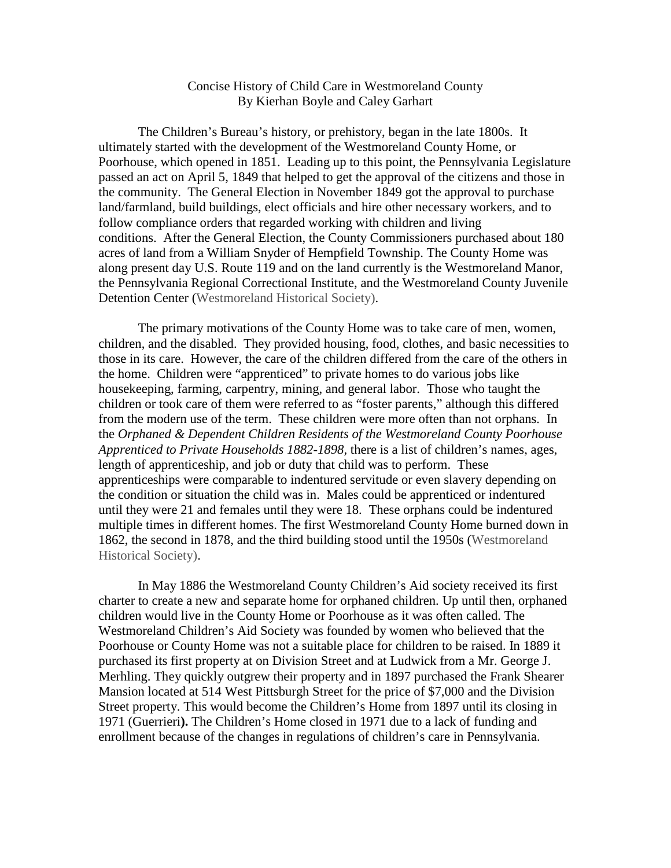## Concise History of Child Care in Westmoreland County By Kierhan Boyle and Caley Garhart

The Children's Bureau's history, or prehistory, began in the late 1800s. It ultimately started with the development of the Westmoreland County Home, or Poorhouse, which opened in 1851. Leading up to this point, the Pennsylvania Legislature passed an act on April 5, 1849 that helped to get the approval of the citizens and those in the community. The General Election in November 1849 got the approval to purchase land/farmland, build buildings, elect officials and hire other necessary workers, and to follow compliance orders that regarded working with children and living conditions. After the General Election, the County Commissioners purchased about 180 acres of land from a William Snyder of Hempfield Township. The County Home was along present day U.S. Route 119 and on the land currently is the Westmoreland Manor, the Pennsylvania Regional Correctional Institute, and the Westmoreland County Juvenile Detention Center (Westmoreland Historical Society).

The primary motivations of the County Home was to take care of men, women, children, and the disabled. They provided housing, food, clothes, and basic necessities to those in its care. However, the care of the children differed from the care of the others in the home. Children were "apprenticed" to private homes to do various jobs like housekeeping, farming, carpentry, mining, and general labor. Those who taught the children or took care of them were referred to as "foster parents," although this differed from the modern use of the term. These children were more often than not orphans. In the *Orphaned & Dependent Children Residents of the Westmoreland County Poorhouse Apprenticed to Private Households 1882-1898,* there is a list of children's names, ages, length of apprenticeship, and job or duty that child was to perform. These apprenticeships were comparable to indentured servitude or even slavery depending on the condition or situation the child was in. Males could be apprenticed or indentured until they were 21 and females until they were 18. These orphans could be indentured multiple times in different homes. The first Westmoreland County Home burned down in 1862, the second in 1878, and the third building stood until the 1950s (Westmoreland Historical Society).

In May 1886 the Westmoreland County Children's Aid society received its first charter to create a new and separate home for orphaned children. Up until then, orphaned children would live in the County Home or Poorhouse as it was often called. The Westmoreland Children's Aid Society was founded by women who believed that the Poorhouse or County Home was not a suitable place for children to be raised. In 1889 it purchased its first property at on Division Street and at Ludwick from a Mr. George J. Merhling. They quickly outgrew their property and in 1897 purchased the Frank Shearer Mansion located at 514 West Pittsburgh Street for the price of \$7,000 and the Division Street property. This would become the Children's Home from 1897 until its closing in 1971 (Guerrieri**).** The Children's Home closed in 1971 due to a lack of funding and enrollment because of the changes in regulations of children's care in Pennsylvania.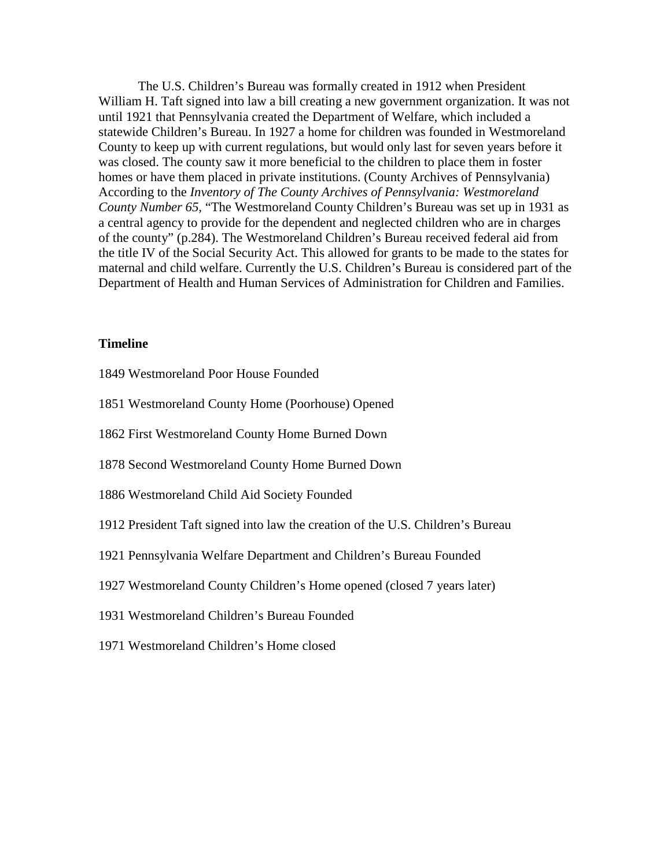The U.S. Children's Bureau was formally created in 1912 when President William H. Taft signed into law a bill creating a new government organization. It was not until 1921 that Pennsylvania created the Department of Welfare, which included a statewide Children's Bureau. In 1927 a home for children was founded in Westmoreland County to keep up with current regulations, but would only last for seven years before it was closed. The county saw it more beneficial to the children to place them in foster homes or have them placed in private institutions. (County Archives of Pennsylvania) According to the *Inventory of The County Archives of Pennsylvania: Westmoreland County Number 65,* "The Westmoreland County Children's Bureau was set up in 1931 as a central agency to provide for the dependent and neglected children who are in charges of the county" (p.284). The Westmoreland Children's Bureau received federal aid from the title IV of the Social Security Act. This allowed for grants to be made to the states for maternal and child welfare. Currently the U.S. Children's Bureau is considered part of the Department of Health and Human Services of Administration for Children and Families.

#### **Timeline**

- 1849 Westmoreland Poor House Founded
- 1851 Westmoreland County Home (Poorhouse) Opened
- 1862 First Westmoreland County Home Burned Down
- 1878 Second Westmoreland County Home Burned Down
- 1886 Westmoreland Child Aid Society Founded
- 1912 President Taft signed into law the creation of the U.S. Children's Bureau
- 1921 Pennsylvania Welfare Department and Children's Bureau Founded
- 1927 Westmoreland County Children's Home opened (closed 7 years later)
- 1931 Westmoreland Children's Bureau Founded
- 1971 Westmoreland Children's Home closed